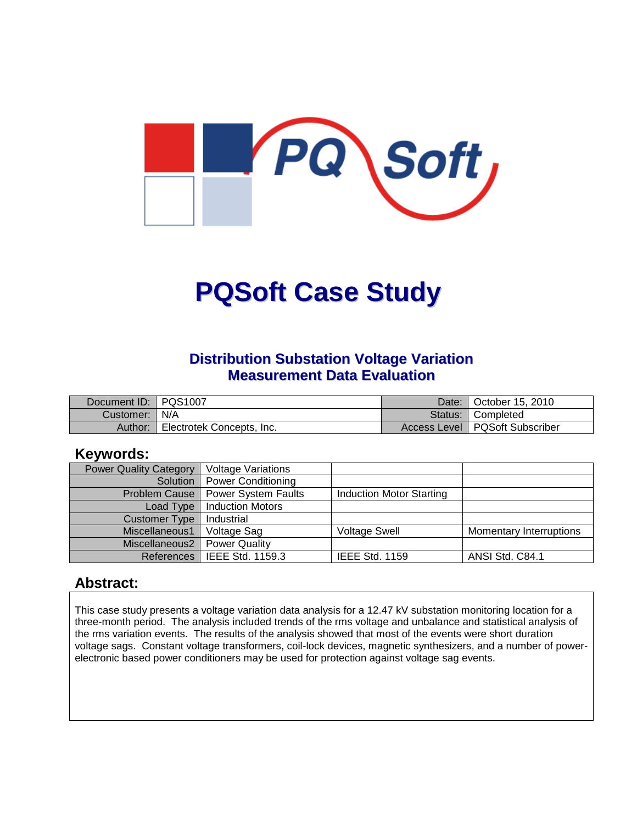

# **PQSoft Case Study**

#### **Distribution Substation Voltage Variation Measurement Data Evaluation**

| Document ID:   PQS1007 |                           | Date: I | 1 October 15, 2010               |
|------------------------|---------------------------|---------|----------------------------------|
| Customer:   N/A        |                           |         | Status: Completed                |
| Author:                | Electrotek Concepts, Inc. |         | Access Level   PQSoft Subscriber |

#### **Keywords:**

| <b>Power Quality Category</b> | <b>Voltage Variations</b> |                                 |                                |
|-------------------------------|---------------------------|---------------------------------|--------------------------------|
| Solution                      | Power Conditioning        |                                 |                                |
| Problem Cause                 | Power System Faults       | <b>Induction Motor Starting</b> |                                |
| Load Type                     | <b>Induction Motors</b>   |                                 |                                |
| Customer Type                 | Industrial                |                                 |                                |
| Miscellaneous1                | Voltage Sag               | <b>Voltage Swell</b>            | <b>Momentary Interruptions</b> |
| Miscellaneous2                | <b>Power Quality</b>      |                                 |                                |
| References                    | IEEE Std. 1159.3          | <b>IEEE Std. 1159</b>           | ANSI Std. C84.1                |

#### **Abstract:**

This case study presents a voltage variation data analysis for a 12.47 kV substation monitoring location for a three-month period. The analysis included trends of the rms voltage and unbalance and statistical analysis of the rms variation events. The results of the analysis showed that most of the events were short duration voltage sags. Constant voltage transformers, coil-lock devices, magnetic synthesizers, and a number of powerelectronic based power conditioners may be used for protection against voltage sag events.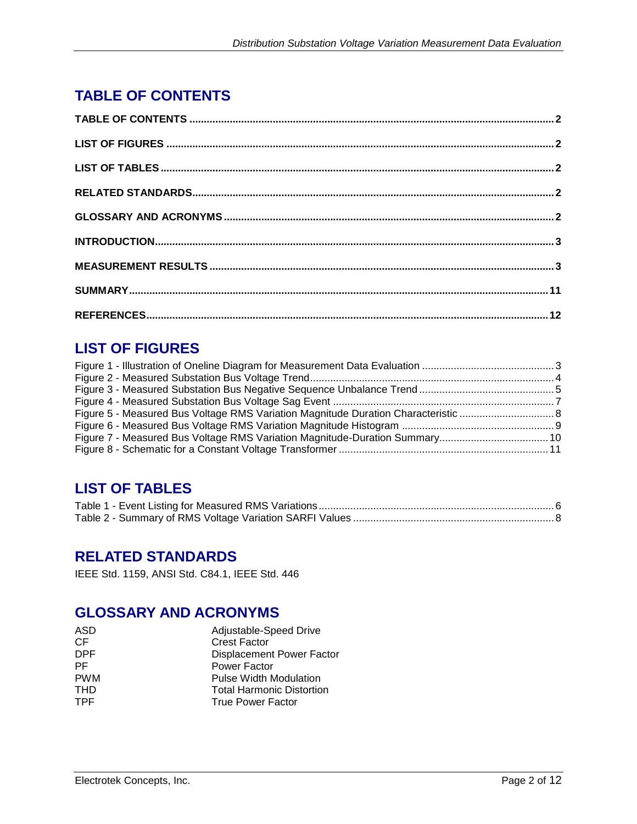# **TABLE OF CONTENTS**

## **LIST OF FIGURES**

## **LIST OF TABLES**

#### **RELATED STANDARDS**

IEEE Std. 1159, ANSI Std. C84.1, IEEE Std. 446

## **GLOSSARY AND ACRONYMS**

| ASD        | Adjustable-Speed Drive           |
|------------|----------------------------------|
| CF         | <b>Crest Factor</b>              |
| DPF        | <b>Displacement Power Factor</b> |
| PF.        | Power Factor                     |
| <b>PWM</b> | <b>Pulse Width Modulation</b>    |
| <b>THD</b> | <b>Total Harmonic Distortion</b> |
| <b>TPF</b> | <b>True Power Factor</b>         |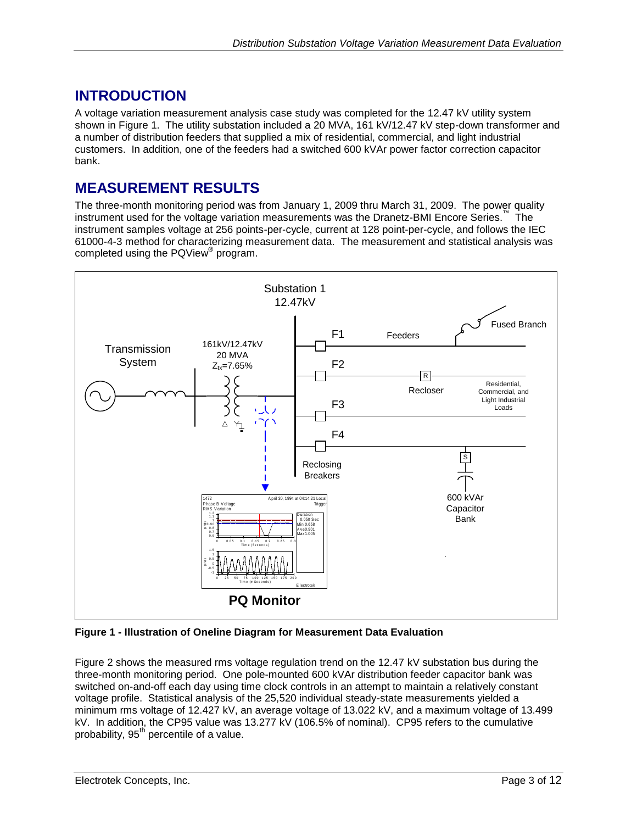#### **INTRODUCTION**

A voltage variation measurement analysis case study was completed for the 12.47 kV utility system shown in [Figure 1.](#page-2-0) The utility substation included a 20 MVA, 161 kV/12.47 kV step-down transformer and a number of distribution feeders that supplied a mix of residential, commercial, and light industrial customers. In addition, one of the feeders had a switched 600 kVAr power factor correction capacitor bank.

#### **MEASUREMENT RESULTS**

The three-month monitoring period was from January 1, 2009 thru March 31, 2009. The power quality instrument used for the voltage variation measurements was the Dranetz-BMI Encore Series.<sup>™</sup> The instrument samples voltage at 256 points-per-cycle, current at 128 point-per-cycle, and follows the IEC 61000-4-3 method for characterizing measurement data. The measurement and statistical analysis was completed using the PQView**®** program.



<span id="page-2-0"></span>**Figure 1 - Illustration of Oneline Diagram for Measurement Data Evaluation**

[Figure](#page-3-0) 2 shows the measured rms voltage regulation trend on the 12.47 kV substation bus during the three-month monitoring period. One pole-mounted 600 kVAr distribution feeder capacitor bank was switched on-and-off each day using time clock controls in an attempt to maintain a relatively constant voltage profile. Statistical analysis of the 25,520 individual steady-state measurements yielded a minimum rms voltage of 12.427 kV, an average voltage of 13.022 kV, and a maximum voltage of 13.499 kV. In addition, the CP95 value was 13.277 kV (106.5% of nominal). CP95 refers to the cumulative probability,  $95<sup>th</sup>$  percentile of a value.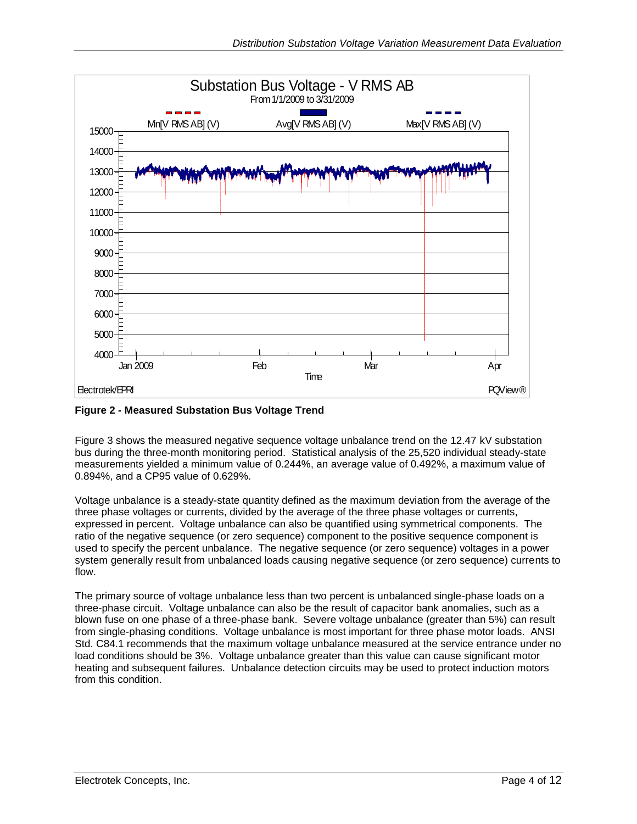

<span id="page-3-0"></span>**Figure 2 - Measured Substation Bus Voltage Trend**

[Figure 3](#page-4-0) shows the measured negative sequence voltage unbalance trend on the 12.47 kV substation bus during the three-month monitoring period. Statistical analysis of the 25,520 individual steady-state measurements yielded a minimum value of 0.244%, an average value of 0.492%, a maximum value of 0.894%, and a CP95 value of 0.629%.

Voltage unbalance is a steady-state quantity defined as the maximum deviation from the average of the three phase voltages or currents, divided by the average of the three phase voltages or currents, expressed in percent. Voltage unbalance can also be quantified using symmetrical components. The ratio of the negative sequence (or zero sequence) component to the positive sequence component is used to specify the percent unbalance. The negative sequence (or zero sequence) voltages in a power system generally result from unbalanced loads causing negative sequence (or zero sequence) currents to flow.

The primary source of voltage unbalance less than two percent is unbalanced single-phase loads on a three-phase circuit. Voltage unbalance can also be the result of capacitor bank anomalies, such as a blown fuse on one phase of a three-phase bank. Severe voltage unbalance (greater than 5%) can result from single-phasing conditions. Voltage unbalance is most important for three phase motor loads. ANSI Std. C84.1 recommends that the maximum voltage unbalance measured at the service entrance under no load conditions should be 3%. Voltage unbalance greater than this value can cause significant motor heating and subsequent failures. Unbalance detection circuits may be used to protect induction motors from this condition.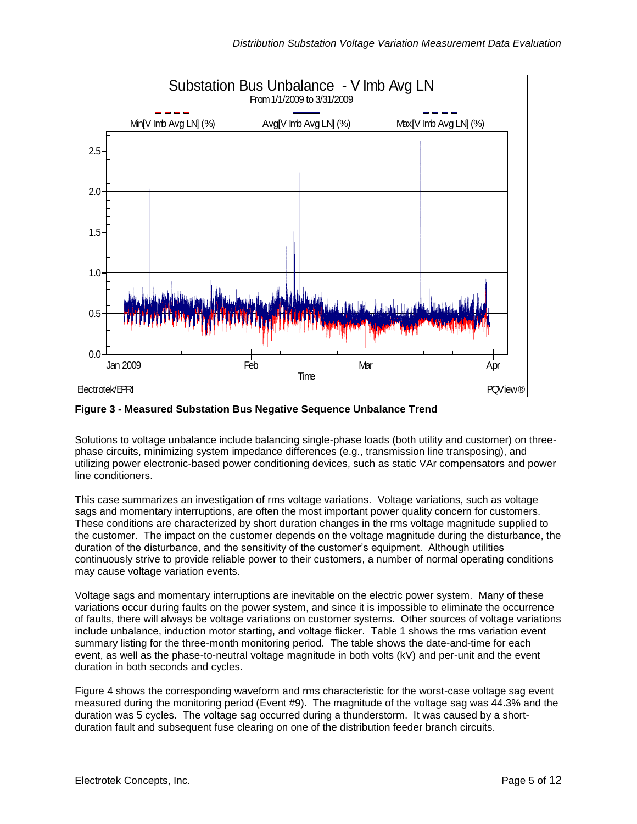

<span id="page-4-0"></span>**Figure 3 - Measured Substation Bus Negative Sequence Unbalance Trend**

Solutions to voltage unbalance include balancing single-phase loads (both utility and customer) on threephase circuits, minimizing system impedance differences (e.g., transmission line transposing), and utilizing power electronic-based power conditioning devices, such as static VAr compensators and power line conditioners.

This case summarizes an investigation of rms voltage variations. Voltage variations, such as voltage sags and momentary interruptions, are often the most important power quality concern for customers. These conditions are characterized by short duration changes in the rms voltage magnitude supplied to the customer. The impact on the customer depends on the voltage magnitude during the disturbance, the duration of the disturbance, and the sensitivity of the customer's equipment. Although utilities continuously strive to provide reliable power to their customers, a number of normal operating conditions may cause voltage variation events.

Voltage sags and momentary interruptions are inevitable on the electric power system. Many of these variations occur during faults on the power system, and since it is impossible to eliminate the occurrence of faults, there will always be voltage variations on customer systems. Other sources of voltage variations include unbalance, induction motor starting, and voltage flicker. [Table 1](#page-5-0) shows the rms variation event summary listing for the three-month monitoring period. The table shows the date-and-time for each event, as well as the phase-to-neutral voltage magnitude in both volts (kV) and per-unit and the event duration in both seconds and cycles.

[Figure 4](#page-6-0) shows the corresponding waveform and rms characteristic for the worst-case voltage sag event measured during the monitoring period (Event #9). The magnitude of the voltage sag was 44.3% and the duration was 5 cycles. The voltage sag occurred during a thunderstorm. It was caused by a shortduration fault and subsequent fuse clearing on one of the distribution feeder branch circuits.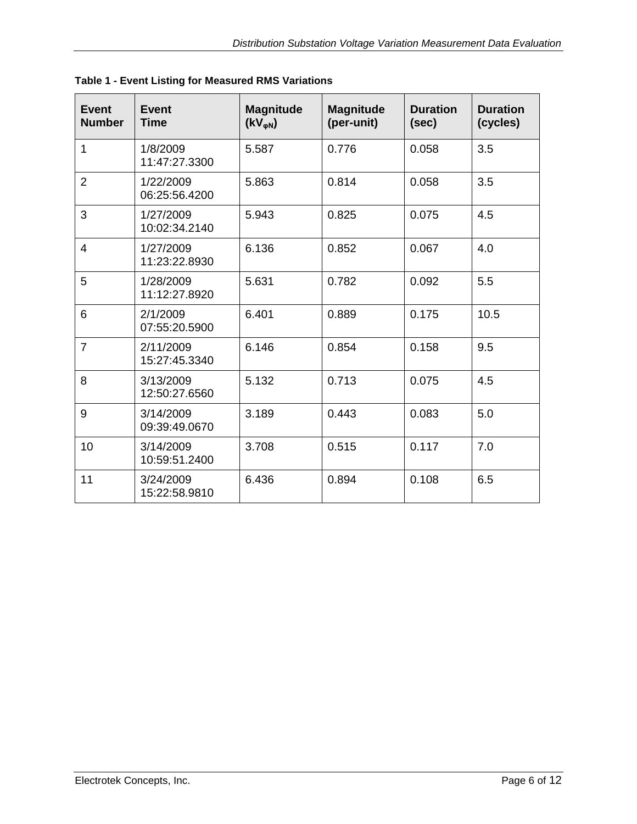| <b>Event</b><br><b>Number</b> | <b>Event</b><br><b>Time</b> | <b>Magnitude</b><br>$(KV_{\varphi N})$ | <b>Magnitude</b><br>(per-unit) | <b>Duration</b><br>(sec) | <b>Duration</b><br>(cycles) |
|-------------------------------|-----------------------------|----------------------------------------|--------------------------------|--------------------------|-----------------------------|
| 1                             | 1/8/2009<br>11:47:27.3300   | 5.587                                  | 0.776                          | 0.058                    | 3.5                         |
| 2                             | 1/22/2009<br>06:25:56.4200  | 5.863                                  | 0.814                          | 0.058                    | 3.5                         |
| 3                             | 1/27/2009<br>10:02:34.2140  | 5.943                                  | 0.825                          | 0.075                    | 4.5                         |
| $\overline{4}$                | 1/27/2009<br>11:23:22.8930  | 6.136                                  | 0.852                          | 0.067                    | 4.0                         |
| 5                             | 1/28/2009<br>11:12:27.8920  | 5.631                                  | 0.782                          | 0.092                    | 5.5                         |
| 6                             | 2/1/2009<br>07:55:20.5900   | 6.401                                  | 0.889                          | 0.175                    | 10.5                        |
| $\overline{7}$                | 2/11/2009<br>15:27:45.3340  | 6.146                                  | 0.854                          | 0.158                    | 9.5                         |
| 8                             | 3/13/2009<br>12:50:27.6560  | 5.132                                  | 0.713                          | 0.075                    | 4.5                         |
| 9                             | 3/14/2009<br>09:39:49.0670  | 3.189                                  | 0.443                          | 0.083                    | 5.0                         |
| 10                            | 3/14/2009<br>10:59:51.2400  | 3.708                                  | 0.515                          | 0.117                    | 7.0                         |
| 11                            | 3/24/2009<br>15:22:58.9810  | 6.436                                  | 0.894                          | 0.108                    | 6.5                         |

<span id="page-5-0"></span>**Table 1 - Event Listing for Measured RMS Variations**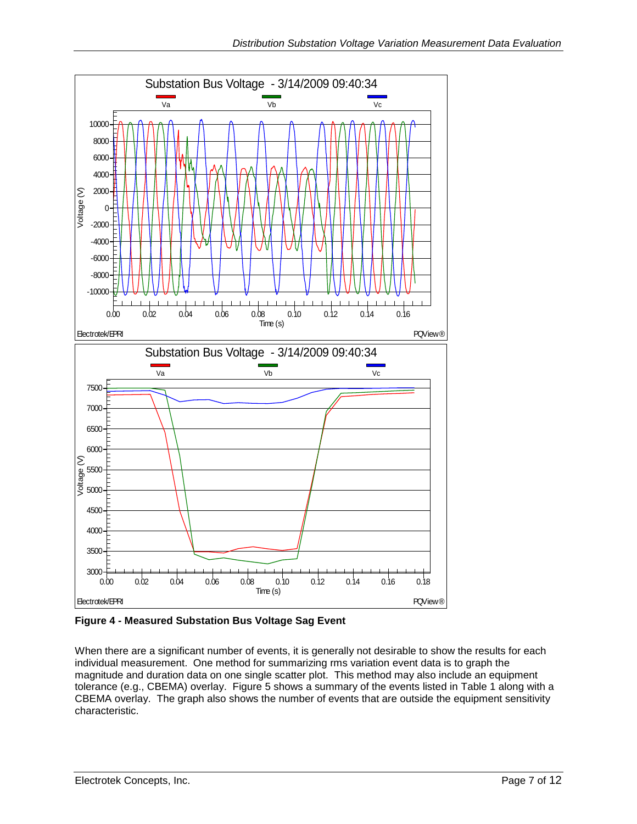

<span id="page-6-0"></span>**Figure 4 - Measured Substation Bus Voltage Sag Event**

When there are a significant number of events, it is generally not desirable to show the results for each individual measurement. One method for summarizing rms variation event data is to graph the magnitude and duration data on one single scatter plot. This method may also include an equipment tolerance (e.g., CBEMA) overlay. [Figure 5](#page-7-0) shows a summary of the events listed in [Table 1](#page-5-0) along with a CBEMA overlay. The graph also shows the number of events that are outside the equipment sensitivity characteristic.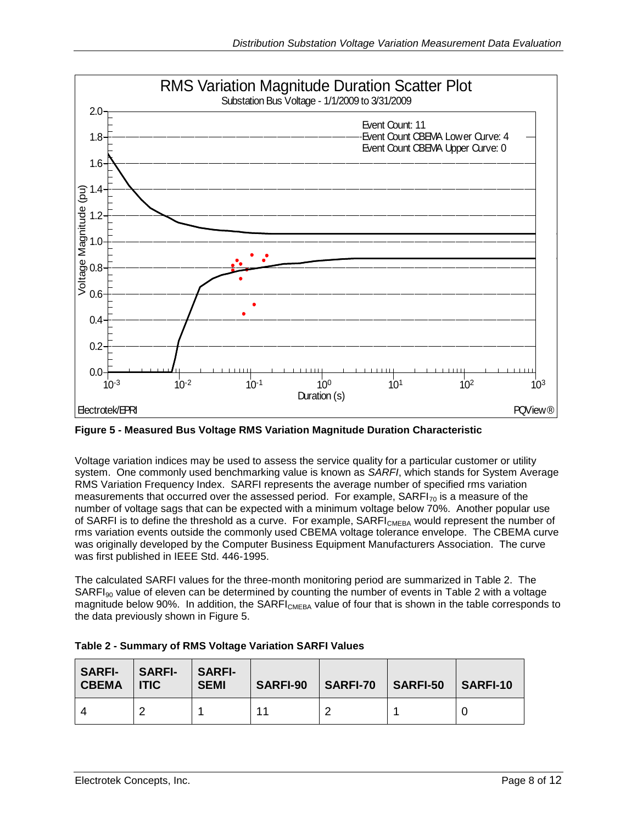

<span id="page-7-0"></span>**Figure 5 - Measured Bus Voltage RMS Variation Magnitude Duration Characteristic**

Voltage variation indices may be used to assess the service quality for a particular customer or utility system. One commonly used benchmarking value is known as *SARFI*, which stands for System Average RMS Variation Frequency Index. SARFI represents the average number of specified rms variation measurements that occurred over the assessed period. For example,  $SARFI_{70}$  is a measure of the number of voltage sags that can be expected with a minimum voltage below 70%. Another popular use of SARFI is to define the threshold as a curve. For example, SARFI<sub>CMEBA</sub> would represent the number of rms variation events outside the commonly used CBEMA voltage tolerance envelope. The CBEMA curve was originally developed by the Computer Business Equipment Manufacturers Association. The curve was first published in IEEE Std. 446-1995.

The calculated SARFI values for the three-month monitoring period are summarized in [Table 2.](#page-7-1) The  $SARFI<sub>90</sub>$  value of eleven can be determined by counting the number of events in [Table 2](#page-7-1) with a voltage magnitude below 90%. In addition, the SARFI<sub>CMEBA</sub> value of four that is shown in the table corresponds to the data previously shown in [Figure 5.](#page-7-0)

| <b>SARFI-</b><br><b>CBEMA</b> | <b>SARFI-</b><br>l ITIC. | l SARFI-<br><b>SEMI</b> | <b>SARFI-90</b> | SARFI-70 | SARFI-50 | <b>SARFI-10</b> |
|-------------------------------|--------------------------|-------------------------|-----------------|----------|----------|-----------------|
|                               |                          |                         |                 |          |          |                 |

<span id="page-7-1"></span>

| Table 2 - Summary of RMS Voltage Variation SARFI Values |  |  |
|---------------------------------------------------------|--|--|
|                                                         |  |  |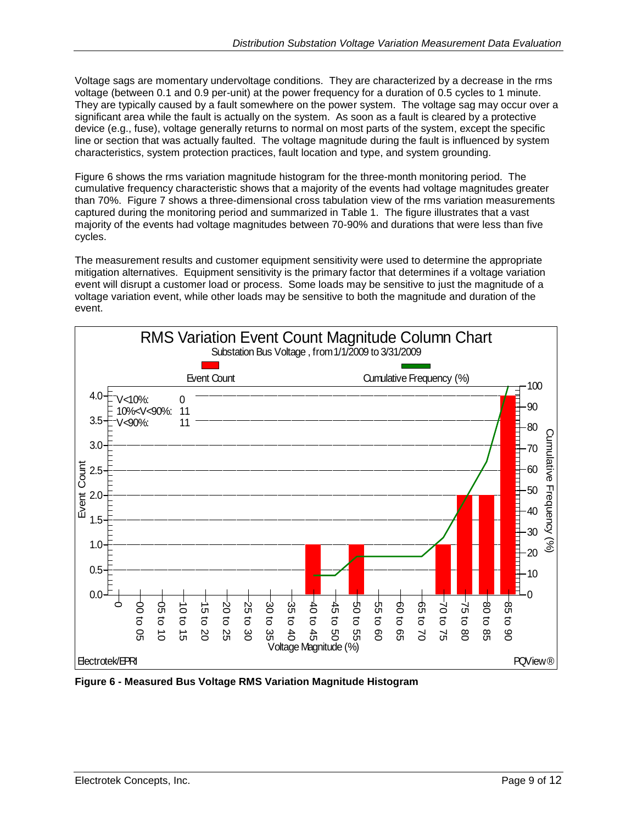Voltage sags are momentary undervoltage conditions. They are characterized by a decrease in the rms voltage (between 0.1 and 0.9 per-unit) at the power frequency for a duration of 0.5 cycles to 1 minute. They are typically caused by a fault somewhere on the power system. The voltage sag may occur over a significant area while the fault is actually on the system. As soon as a fault is cleared by a protective device (e.g., fuse), voltage generally returns to normal on most parts of the system, except the specific line or section that was actually faulted. The voltage magnitude during the fault is influenced by system characteristics, system protection practices, fault location and type, and system grounding.

[Figure 6](#page-8-0) shows the rms variation magnitude histogram for the three-month monitoring period. The cumulative frequency characteristic shows that a majority of the events had voltage magnitudes greater than 70%. [Figure 7](#page-9-0) shows a three-dimensional cross tabulation view of the rms variation measurements captured during the monitoring period and summarized in [Table 1.](#page-5-0) The figure illustrates that a vast majority of the events had voltage magnitudes between 70-90% and durations that were less than five cycles.

The measurement results and customer equipment sensitivity were used to determine the appropriate mitigation alternatives. Equipment sensitivity is the primary factor that determines if a voltage variation event will disrupt a customer load or process. Some loads may be sensitive to just the magnitude of a voltage variation event, while other loads may be sensitive to both the magnitude and duration of the event.



<span id="page-8-0"></span>**Figure 6 - Measured Bus Voltage RMS Variation Magnitude Histogram**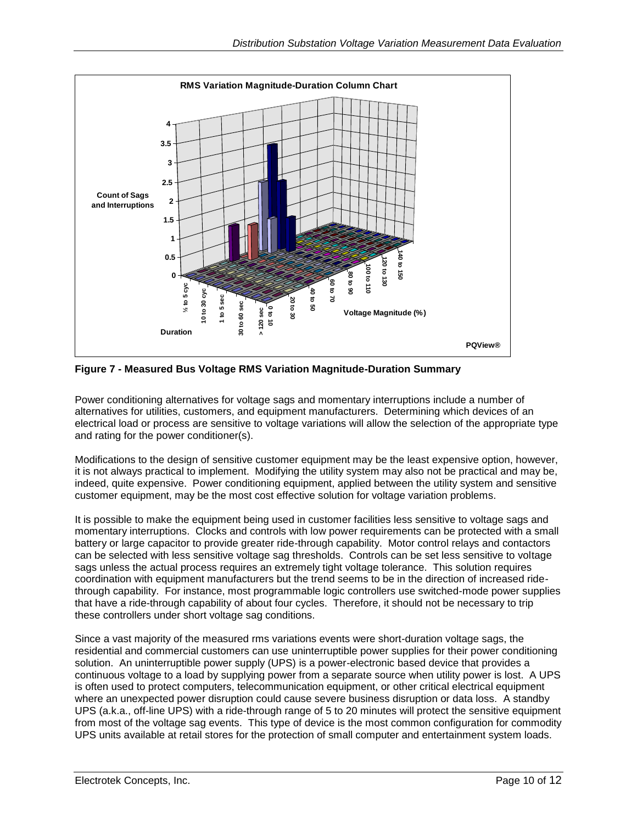

<span id="page-9-0"></span>**Figure 7 - Measured Bus Voltage RMS Variation Magnitude-Duration Summary**

Power conditioning alternatives for voltage sags and momentary interruptions include a number of alternatives for utilities, customers, and equipment manufacturers. Determining which devices of an electrical load or process are sensitive to voltage variations will allow the selection of the appropriate type and rating for the power conditioner(s).

Modifications to the design of sensitive customer equipment may be the least expensive option, however, it is not always practical to implement. Modifying the utility system may also not be practical and may be, indeed, quite expensive. Power conditioning equipment, applied between the utility system and sensitive customer equipment, may be the most cost effective solution for voltage variation problems.

The method of the control of the method of the method of the method of the method of the method of the method of the method of the method of the method of the method of the method of the method of the method of the method It is possible to make the equipment being used in customer facilities less sensitive to voltage sags and momentary interruptions. Clocks and controls with low power requirements can be protected with a small battery or large capacitor to provide greater ride-through capability. Motor control relays and contactors can be selected with less sensitive voltage sag thresholds. Controls can be set less sensitive to voltage sags unless the actual process requires an extremely tight voltage tolerance. This solution requires coordination with equipment manufacturers but the trend seems to be in the direction of increased ridethrough capability. For instance, most programmable logic controllers use switched-mode power supplies that have a ride-through capability of about four cycles. Therefore, it should not be necessary to trip these controllers under short voltage sag conditions.

Since a vast majority of the measured rms variations events were short-duration voltage sags, the residential and commercial customers can use uninterruptible power supplies for their power conditioning solution. An uninterruptible power supply (UPS) is a power-electronic based device that provides a continuous voltage to a load by supplying power from a separate source when utility power is lost. A UPS is often used to protect computers, telecommunication equipment, or other critical electrical equipment where an unexpected power disruption could cause severe business disruption or data loss. A standby UPS (a.k.a., off-line UPS) with a ride-through range of 5 to 20 minutes will protect the sensitive equipment from most of the voltage sag events. This type of device is the most common configuration for commodity UPS units available at retail stores for the protection of small computer and entertainment system loads.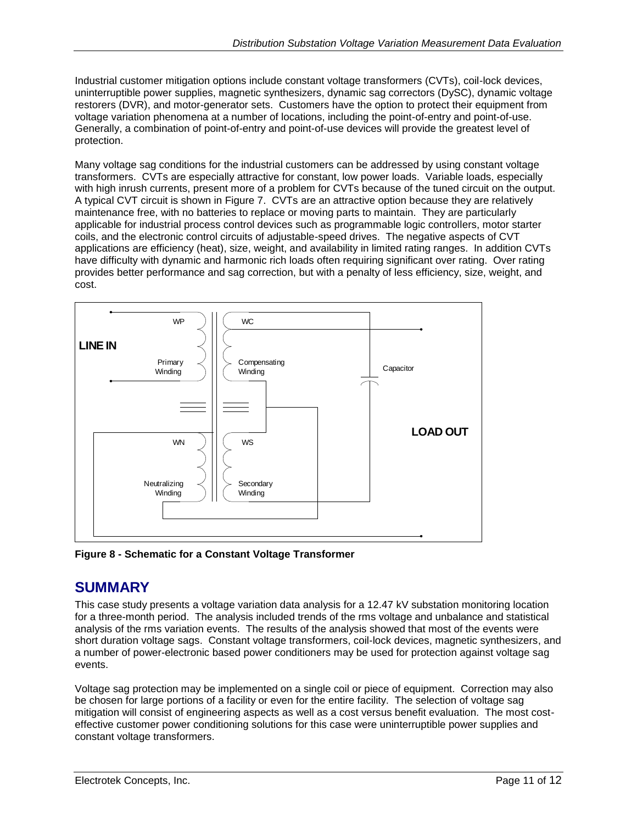Industrial customer mitigation options include constant voltage transformers (CVTs), coil-lock devices, uninterruptible power supplies, magnetic synthesizers, dynamic sag correctors (DySC), dynamic voltage restorers (DVR), and motor-generator sets. Customers have the option to protect their equipment from voltage variation phenomena at a number of locations, including the point-of-entry and point-of-use. Generally, a combination of point-of-entry and point-of-use devices will provide the greatest level of protection.

Many voltage sag conditions for the industrial customers can be addressed by using constant voltage transformers. CVTs are especially attractive for constant, low power loads. Variable loads, especially with high inrush currents, present more of a problem for CVTs because of the tuned circuit on the output. A typical CVT circuit is shown in [Figure 7.](#page-9-0) CVTs are an attractive option because they are relatively maintenance free, with no batteries to replace or moving parts to maintain. They are particularly applicable for industrial process control devices such as programmable logic controllers, motor starter coils, and the electronic control circuits of adjustable-speed drives. The negative aspects of CVT applications are efficiency (heat), size, weight, and availability in limited rating ranges. In addition CVTs have difficulty with dynamic and harmonic rich loads often requiring significant over rating. Over rating provides better performance and sag correction, but with a penalty of less efficiency, size, weight, and cost.



**Figure 8 - Schematic for a Constant Voltage Transformer**

## **SUMMARY**

This case study presents a voltage variation data analysis for a 12.47 kV substation monitoring location for a three-month period. The analysis included trends of the rms voltage and unbalance and statistical analysis of the rms variation events. The results of the analysis showed that most of the events were short duration voltage sags. Constant voltage transformers, coil-lock devices, magnetic synthesizers, and a number of power-electronic based power conditioners may be used for protection against voltage sag events.

Voltage sag protection may be implemented on a single coil or piece of equipment. Correction may also be chosen for large portions of a facility or even for the entire facility. The selection of voltage sag mitigation will consist of engineering aspects as well as a cost versus benefit evaluation. The most costeffective customer power conditioning solutions for this case were uninterruptible power supplies and constant voltage transformers.